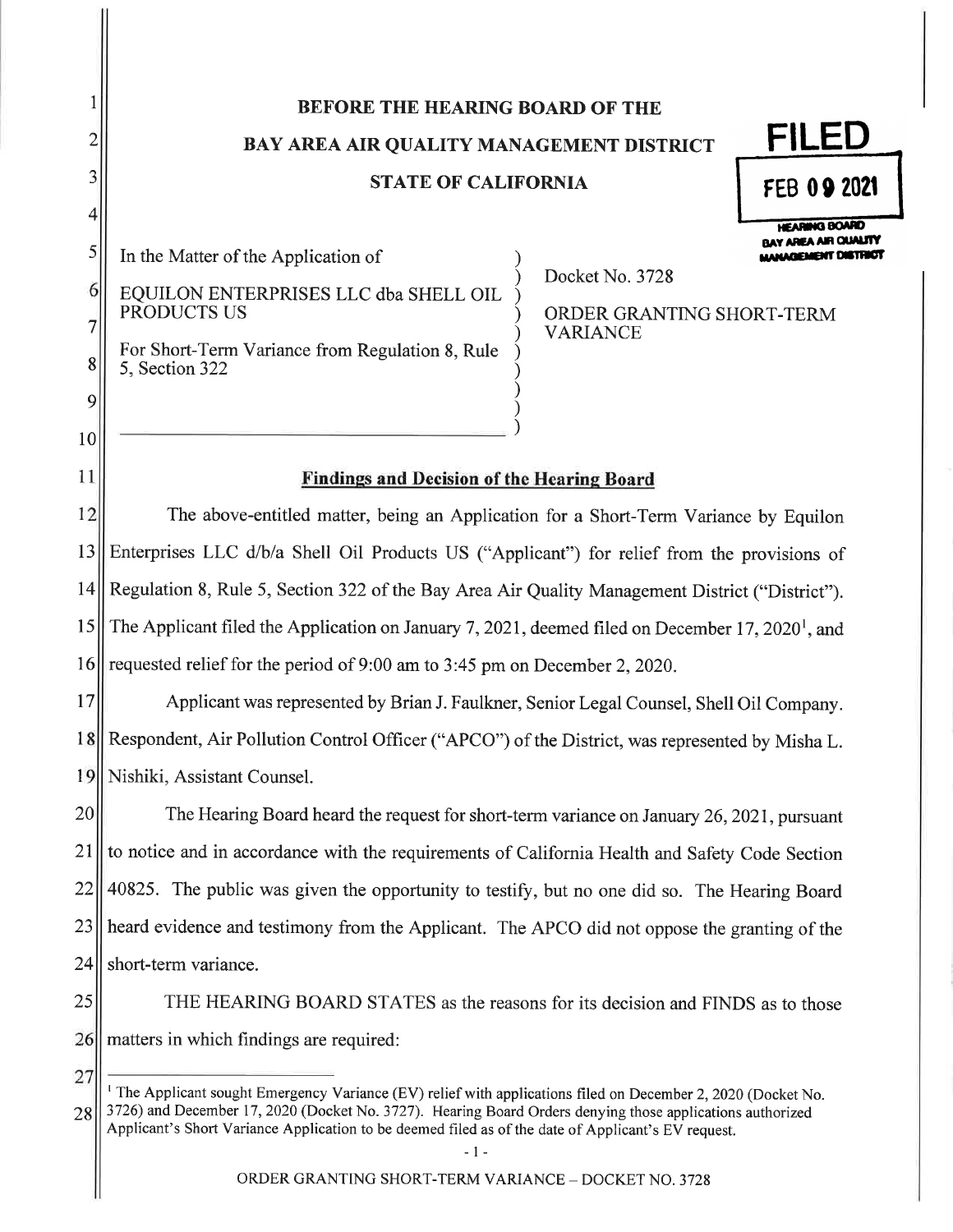# **BEFORE THE HEARING BOARD OF THE**

BAY AREA AIR QUALITY MANAGEMENT DISTRICT

# **STATE OF CALIFORNIA**

**FEB 09 2021** 

**HEARING BOARD BAY AREA AIR CUALITY** 

MANAGEMENT DISTRICT

FILED

In the Matter of the Application of EQUILON ENTERPRISES LLC dba SHELL OIL

1

 $\overline{2}$ 

 $\overline{3}$ 

 $\overline{\mathbf{4}}$ 

 $\vert 5 \vert$ 

6

 $\overline{7}$ 

8

 $\overline{9}$ 

 $10<sup>1</sup>$ 

 $11$ 

27

Docket No. 3728

PRODUCTS US

For Short-Term Variance from Regulation 8, Rule 5, Section 322

ORDER GRANTING SHORT-TERM **VARIANCE** 

# **Findings and Decision of the Hearing Board**

 $12$ The above-entitled matter, being an Application for a Short-Term Variance by Equilon 13 Enterprises LLC d/b/a Shell Oil Products US ("Applicant") for relief from the provisions of  $|4|$ Regulation 8, Rule 5, Section 322 of the Bay Area Air Quality Management District ("District"). 15 The Applicant filed the Application on January 7, 2021, deemed filed on December 17, 2020<sup>1</sup>, and requested relief for the period of 9:00 am to 3:45 pm on December 2, 2020. 16

17 Applicant was represented by Brian J. Faulkner, Senior Legal Counsel, Shell Oil Company. 18 Respondent, Air Pollution Control Officer ("APCO") of the District, was represented by Misha L. 19 Nishiki, Assistant Counsel.

20 The Hearing Board heard the request for short-term variance on January 26, 2021, pursuant to notice and in accordance with the requirements of California Health and Safety Code Section 21 22 40825. The public was given the opportunity to testify, but no one did so. The Hearing Board 23 heard evidence and testimony from the Applicant. The APCO did not oppose the granting of the 24 short-term variance.

25 THE HEARING BOARD STATES as the reasons for its decision and FINDS as to those 26 matters in which findings are required:

<sup>1</sup> The Applicant sought Emergency Variance (EV) relief with applications filed on December 2, 2020 (Docket No. 3726) and December 17, 2020 (Docket No. 3727). Hearing Board Orders denying those applications authorized 28 Applicant's Short Variance Application to be deemed filed as of the date of Applicant's EV request.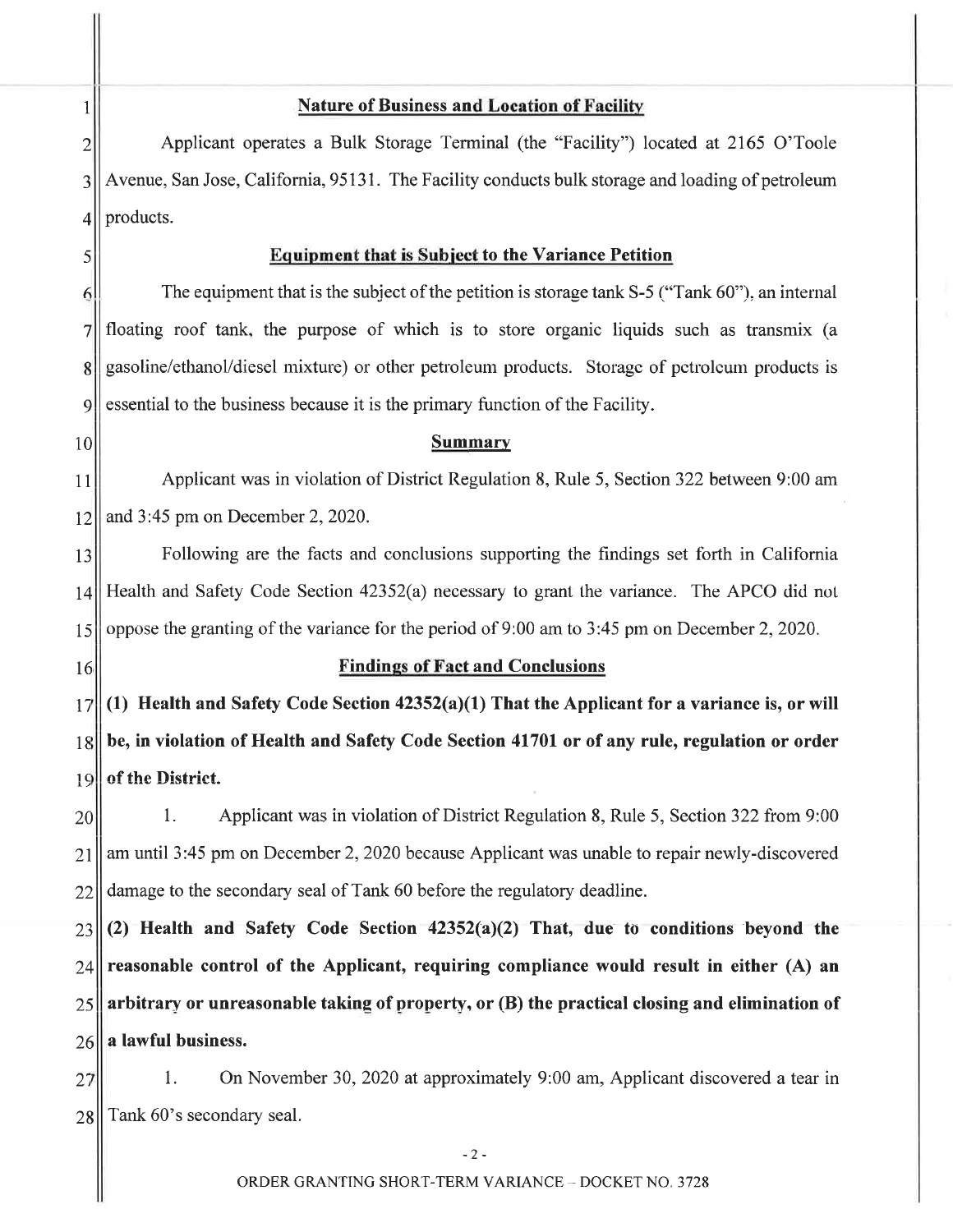# **Nature of Business and Location of Facility**

Applicant operates a Bulk Storage Terminal (the "Facility") located at 2165 O'Toole  $\overline{2}$ Avenue, San Jose, California, 95131. The Facility conducts bulk storage and loading of petroleum 3 products.  $\overline{4}$ 

### **Equipment that is Subject to the Variance Petition**

The equipment that is the subject of the petition is storage tank S-5 ("Tank 60"), an internal  $\overline{6}$ floating roof tank, the purpose of which is to store organic liquids such as transmix (a  $\overline{7}$ gasoline/ethanol/diesel mixture) or other petroleum products. Storage of petroleum products is 8 essential to the business because it is the primary function of the Facility.  $\overline{Q}$ 

#### **Summary**

Applicant was in violation of District Regulation 8, Rule 5, Section 322 between 9:00 am 11 and 3:45 pm on December 2, 2020. 12

13 Following are the facts and conclusions supporting the findings set forth in California Health and Safety Code Section 42352(a) necessary to grant the variance. The APCO did not  $14$ oppose the granting of the variance for the period of 9:00 am to 3:45 pm on December 2, 2020. 15

16

 $\mathbf{1}$ 

5

10

### **Findings of Fact and Conclusions**

(1) Health and Safety Code Section  $42352(a)(1)$  That the Applicant for a variance is, or will 17 be, in violation of Health and Safety Code Section 41701 or of any rule, regulation or order  $18$ of the District. 19

1. Applicant was in violation of District Regulation 8, Rule 5, Section 322 from 9:00 20 am until 3:45 pm on December 2, 2020 because Applicant was unable to repair newly-discovered 21 damage to the secondary seal of Tank 60 before the regulatory deadline. 22

 $(2)$  Health and Safety Code Section  $42352(a)(2)$  That, due to conditions beyond the 23 reasonable control of the Applicant, requiring compliance would result in either (A) an 24 arbitrary or unreasonable taking of property, or (B) the practical closing and elimination of 25 a lawful business. 26

1. On November 30, 2020 at approximately 9:00 am, Applicant discovered a tear in 27 28 Tank 60's secondary seal.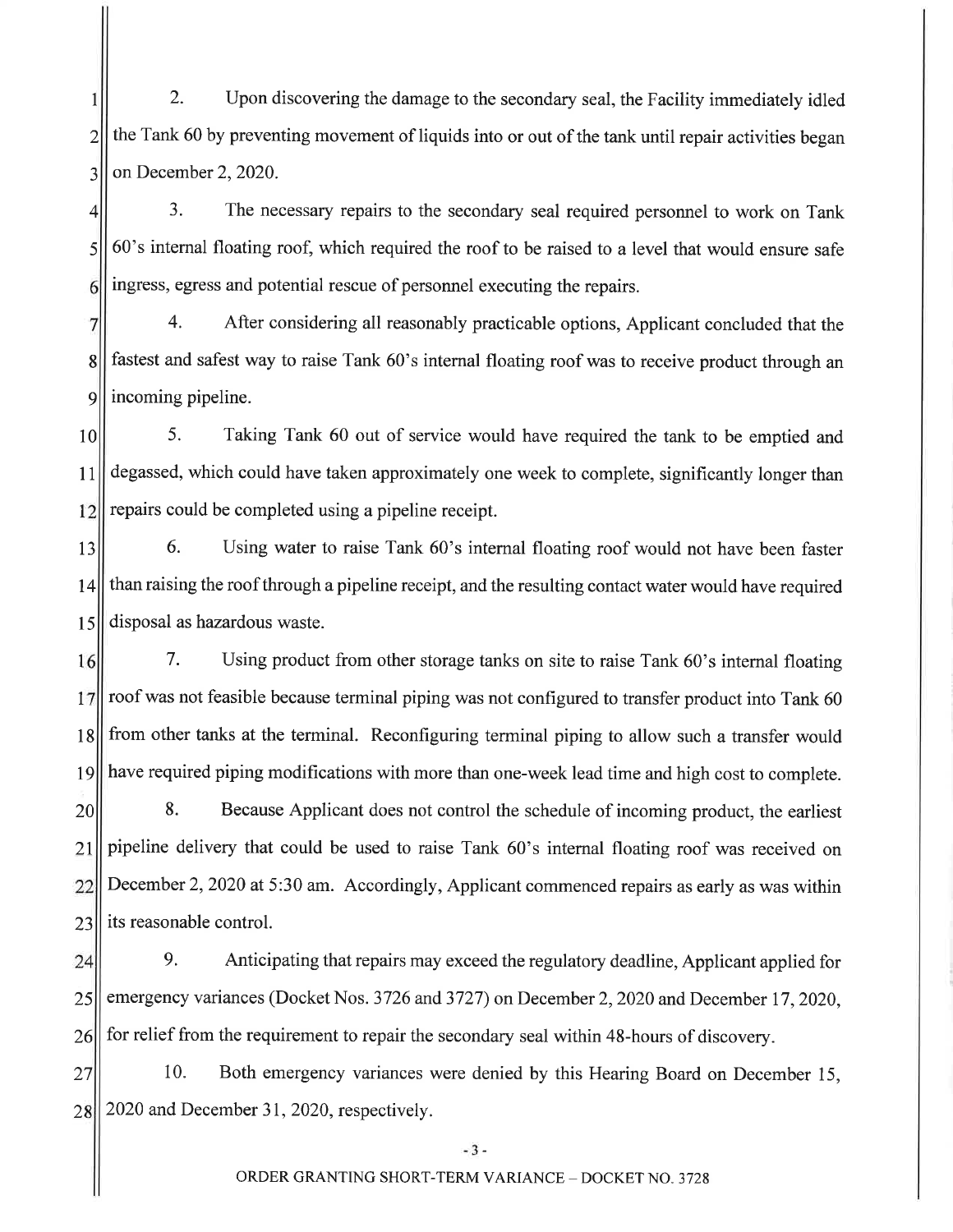$2.$ Upon discovering the damage to the secondary seal, the Facility immediately idled  $\mathbf{1}$  $\overline{2}$ the Tank 60 by preventing movement of liquids into or out of the tank until repair activities began  $\overline{3}$ on December 2, 2020.

 $\overline{3}$ . The necessary repairs to the secondary seal required personnel to work on Tank  $\overline{4}$ 60's internal floating roof, which required the roof to be raised to a level that would ensure safe  $\mathcal{S}$ ingress, egress and potential rescue of personnel executing the repairs.  $6 \mid$ 

 $\overline{4}$ . After considering all reasonably practicable options, Applicant concluded that the  $7\overline{ }$ fastest and safest way to raise Tank 60's internal floating roof was to receive product through an  $\lvert 8 \rvert$ 9 incoming pipeline.

5. Taking Tank 60 out of service would have required the tank to be emptied and  $10<sup>1</sup>$ degassed, which could have taken approximately one week to complete, significantly longer than  $11$ repairs could be completed using a pipeline receipt. 12

6. Using water to raise Tank 60's internal floating roof would not have been faster 13 than raising the roof through a pipeline receipt, and the resulting contact water would have required  $14$ disposal as hazardous waste. 15

7. Using product from other storage tanks on site to raise Tank 60's internal floating 16 roof was not feasible because terminal piping was not configured to transfer product into Tank 60 17 from other tanks at the terminal. Reconfiguring terminal piping to allow such a transfer would 18 have required piping modifications with more than one-week lead time and high cost to complete. 19

Because Applicant does not control the schedule of incoming product, the earliest 8. 20 pipeline delivery that could be used to raise Tank 60's internal floating roof was received on 21 December 2, 2020 at 5:30 am. Accordingly, Applicant commenced repairs as early as was within 22 23 its reasonable control.

9. Anticipating that repairs may exceed the regulatory deadline, Applicant applied for 24 emergency variances (Docket Nos. 3726 and 3727) on December 2, 2020 and December 17, 2020, 25 for relief from the requirement to repair the secondary seal within 48-hours of discovery. 26

10. Both emergency variances were denied by this Hearing Board on December 15, 27 2020 and December 31, 2020, respectively. 28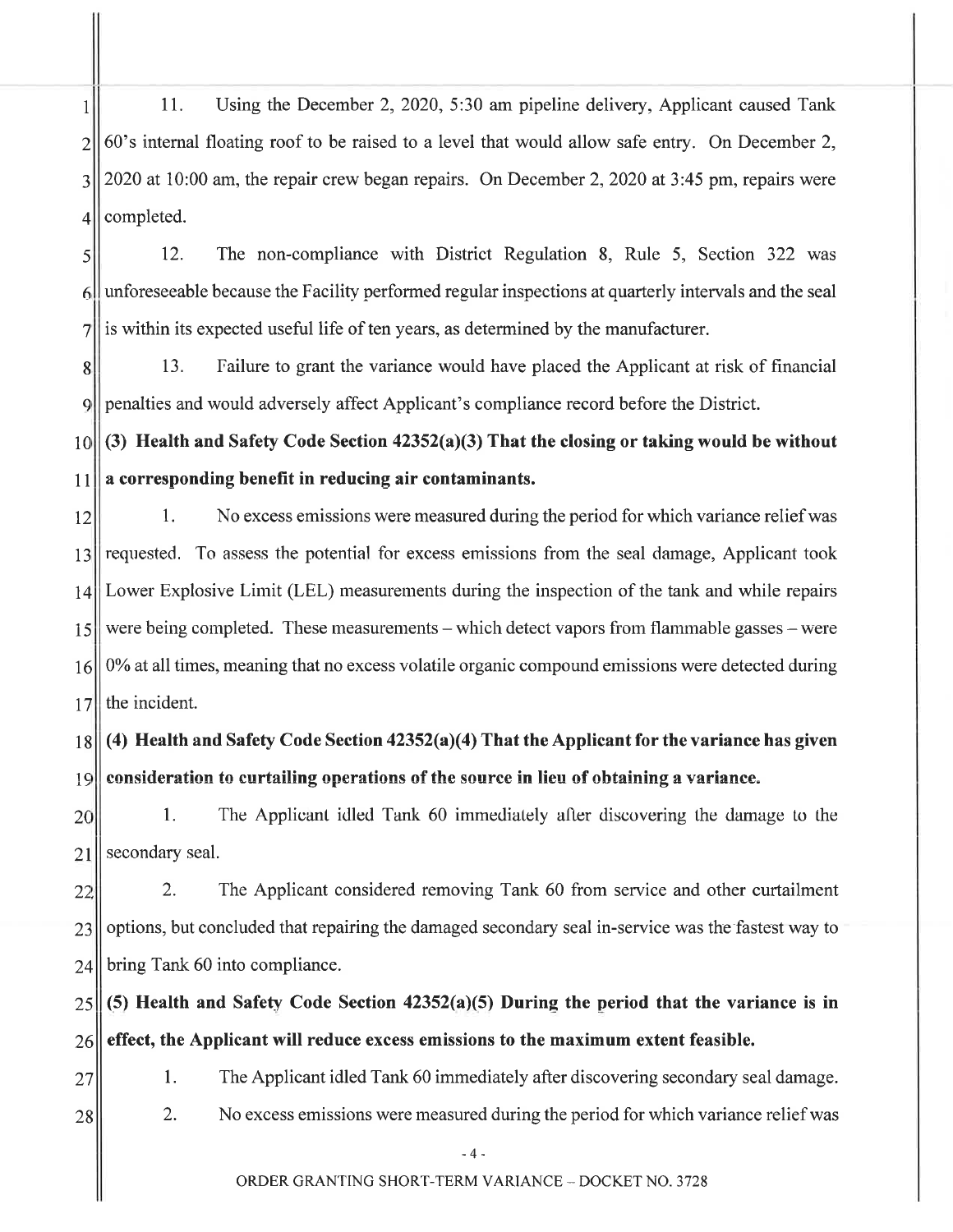11. Using the December 2, 2020, 5:30 am pipeline delivery, Applicant caused Tank  $\mathbf{1}$ 60's internal floating roof to be raised to a level that would allow safe entry. On December 2,  $\overline{2}$ 2020 at 10:00 am, the repair crew began repairs. On December 2, 2020 at 3:45 pm, repairs were  $\overline{3}$ completed.  $\overline{4}$ 

12. The non-compliance with District Regulation 8, Rule 5, Section 322 was 5 unforeseeable because the Facility performed regular inspections at quarterly intervals and the seal  $\left| \right|$ is within its expected useful life of ten years, as determined by the manufacturer.  $\overline{7}$ 

13. Failure to grant the variance would have placed the Applicant at risk of financial 8 penalties and would adversely affect Applicant's compliance record before the District. 9

(3) Health and Safety Code Section 42352(a)(3) That the closing or taking would be without  $10$ a corresponding benefit in reducing air contaminants.  $11$ 

1. No excess emissions were measured during the period for which variance relief was 12 requested. To assess the potential for excess emissions from the seal damage, Applicant took 13 Lower Explosive Limit (LEL) measurements during the inspection of the tank and while repairs 14 were being completed. These measurements – which detect vapors from flammable gasses – were 15 0% at all times, meaning that no excess volatile organic compound emissions were detected during 16 the incident.  $17$ 

(4) Health and Safety Code Section  $42352(a)(4)$  That the Applicant for the variance has given  $18$ 19 consideration to curtailing operations of the source in lieu of obtaining a variance.

 $1.$ The Applicant idled Tank 60 immediately after discovering the damage to the 20 secondary seal. 21

2. The Applicant considered removing Tank 60 from service and other curtailment 22 options, but concluded that repairing the damaged secondary seal in-service was the fastest way to 23 bring Tank 60 into compliance.  $24$ 

(5) Health and Safety Code Section  $42352(a)(5)$  During the period that the variance is in 25 effect, the Applicant will reduce excess emissions to the maximum extent feasible. 26

- $1<sub>1</sub>$ The Applicant idled Tank 60 immediately after discovering secondary seal damage.
- 28

27

 $2.$ No excess emissions were measured during the period for which variance relief was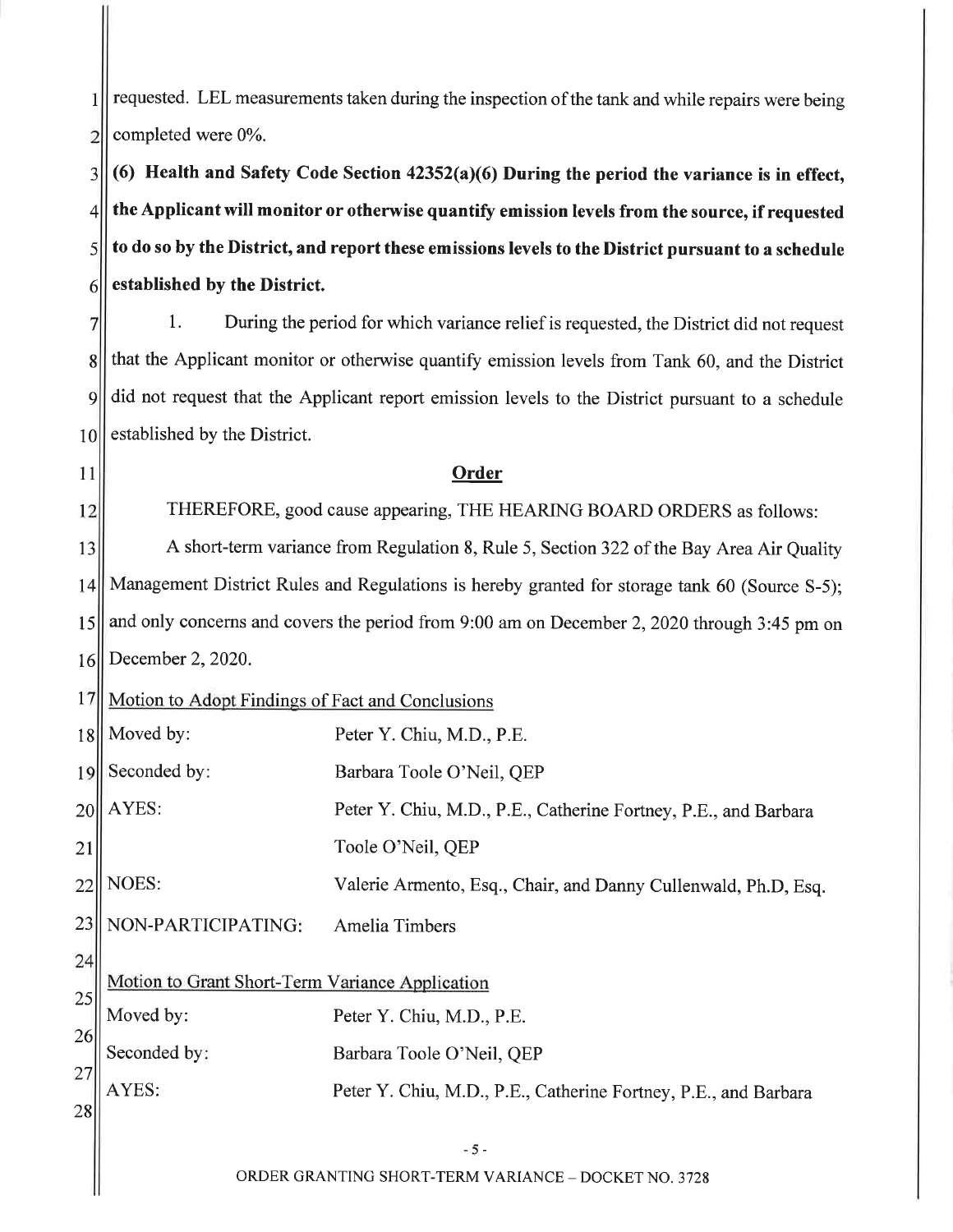requested. LEL measurements taken during the inspection of the tank and while repairs were being  $\mathbf{1}$ completed were 0%.  $\overline{2}$ 

(6) Health and Safety Code Section  $42352(a)(6)$  During the period the variance is in effect,  $\overline{3}$ the Applicant will monitor or otherwise quantify emission levels from the source, if requested  $\overline{\mathcal{L}}$ to do so by the District, and report these emissions levels to the District pursuant to a schedule  $\mathsf{S}$ established by the District.  $\vert 6 \vert$ 

 $1_{-}$ During the period for which variance relief is requested, the District did not request  $\overline{7}$ that the Applicant monitor or otherwise quantify emission levels from Tank 60, and the District  $\vert$ did not request that the Applicant report emission levels to the District pursuant to a schedule  $\overline{9}$ established by the District. 10II

# 11

 $12$ 

THEREFORE, good cause appearing, THE HEARING BOARD ORDERS as follows:

Order

A short-term variance from Regulation 8, Rule 5, Section 322 of the Bay Area Air Quality 13 Management District Rules and Regulations is hereby granted for storage tank 60 (Source S-5): 14 and only concerns and covers the period from 9:00 am on December 2, 2020 through 3:45 pm on 15 December 2, 2020. 16

#### 17 Motion to Adopt Findings of Fact and Conclusions

Moved by: 18 Peter Y. Chiu, M.D., P.E. Seconded by: 19 Barbara Toole O'Neil, OEP AYES: Peter Y. Chiu, M.D., P.E., Catherine Fortney, P.E., and Barbara 20 21 Toole O'Neil, QEP NOES:  $22$ Valerie Armento, Esq., Chair, and Danny Cullenwald, Ph.D, Esq. 23 NON-PARTICIPATING: **Amelia Timbers** 24 Motion to Grant Short-Term Variance Application 25 Moved by: Peter Y. Chiu, M.D., P.E. 26 Seconded by: Barbara Toole O'Neil, QEP 27 AYES: Peter Y. Chiu, M.D., P.E., Catherine Fortney, P.E., and Barbara 28

ORDER GRANTING SHORT-TERM VARIANCE - DOCKET NO. 3728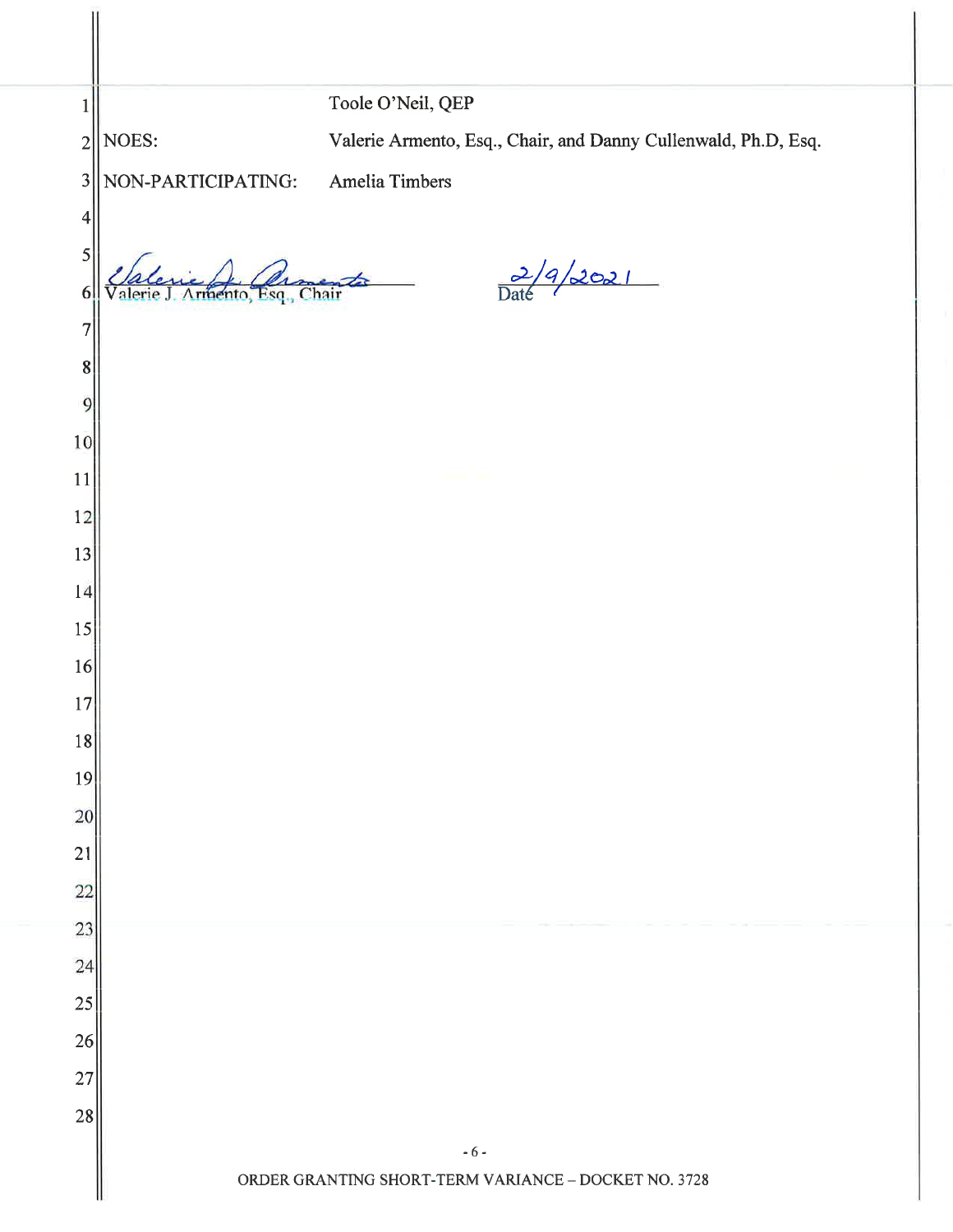| 1                       |                      | Toole O'Neil, QEP                                              |
|-------------------------|----------------------|----------------------------------------------------------------|
| $\overline{2}$          | NOES:                | Valerie Armento, Esq., Chair, and Danny Cullenwald, Ph.D, Esq. |
| $\overline{\mathbf{3}}$ | NON-PARTICIPATING:   | Amelia Timbers                                                 |
| 4                       |                      |                                                                |
| 5                       |                      |                                                                |
| 6                       | rmento Esq.<br>Chair | $\frac{2}{\text{Date}}/9/2021$<br>$\overline{\phantom{a}}$     |
| 7                       |                      |                                                                |
| 8                       |                      |                                                                |
| 9                       |                      |                                                                |
| 10                      |                      |                                                                |
| 11                      |                      |                                                                |
| 12                      |                      |                                                                |
| 13                      |                      |                                                                |
| 14                      |                      |                                                                |
| 15<br>16                |                      |                                                                |
| 17                      |                      |                                                                |
| 18                      |                      |                                                                |
| 19                      |                      |                                                                |
| 20                      |                      |                                                                |
| 21                      |                      |                                                                |
| 22                      |                      |                                                                |
| 23                      |                      |                                                                |
| 24                      |                      |                                                                |
| 25                      |                      |                                                                |
| 26                      |                      |                                                                |
| 27                      |                      |                                                                |
| 28                      |                      |                                                                |
|                         |                      | $-6-$<br>ORDER GRANTING SHORT-TERM VARIANCE - DOCKET NO. 3728  |
|                         |                      |                                                                |